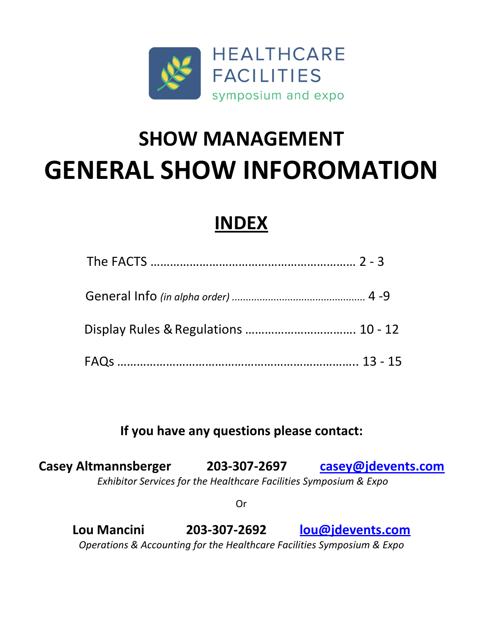

# **SHOW MANAGEMENT GENERAL SHOW INFOROMATION**

# **INDEX**

### **If you have any questions please contact:**

**Casey Altmannsberger 203‐307‐2697 casey@jdevents.com** *Exhibitor Services for the Healthcare Facilities Symposium & Expo*

Or

**Lou Mancini 203‐307‐2692 lou@jdevents.com** *Operations & Accounting for the Healthcare Facilities Symposium & Expo*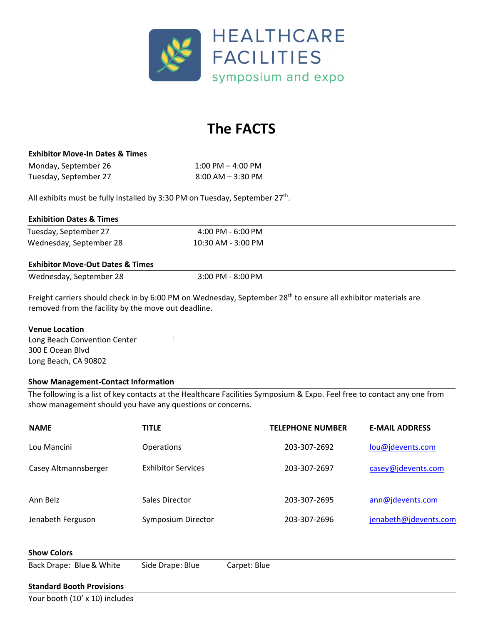

# **The FACTS**

#### **Exhibitor Move‐In Dates & Times**

Monday, September 26 1:00 PM – 4:00 PM Tuesday, September 27 8:00 AM – 3:30 PM

All exhibits must be fully installed by 3:30 PM on Tuesday, September  $27^{th}$ .

#### **Exhibition Dates & Times**

Tuesday, September 27 4:00 PM - 6:00 PM Wednesday, September 28 10:30 AM ‐ 3:00 PM

#### **Exhibitor Move‐Out Dates & Times**

Wednesday, September 28 3:00 PM - 8:00 PM

Freight carriers should check in by 6:00 PM on Wednesday, September 28<sup>th</sup> to ensure all exhibitor materials are removed from the facility by the move out deadline.

#### **Venue Location**

Long Beach Convention Center 300 E Ocean Blvd Long Beach, CA 90802

#### **Show Management‐Contact Information**

The following is a list of key contacts at the Healthcare Facilities Symposium & Expo. Feel free to contact any one from show management should you have any questions or concerns.

| <b>NAME</b>              | <b>TITLE</b>              |              | <b>TELEPHONE NUMBER</b> | <b>E-MAIL ADDRESS</b> |
|--------------------------|---------------------------|--------------|-------------------------|-----------------------|
| Lou Mancini              | Operations                |              | 203-307-2692            | lou@jdevents.com      |
| Casey Altmannsberger     | <b>Exhibitor Services</b> |              | 203-307-2697            | casey@jdevents.com    |
| Ann Belz                 | Sales Director            |              | 203-307-2695            | ann@jdevents.com      |
| Jenabeth Ferguson        | Symposium Director        |              | 203-307-2696            | jenabeth@jdevents.com |
| <b>Show Colors</b>       |                           |              |                         |                       |
| Back Drape: Blue & White | Side Drape: Blue          | Carpet: Blue |                         |                       |

#### **Standard Booth Provisions**

Your booth (10' x 10) includes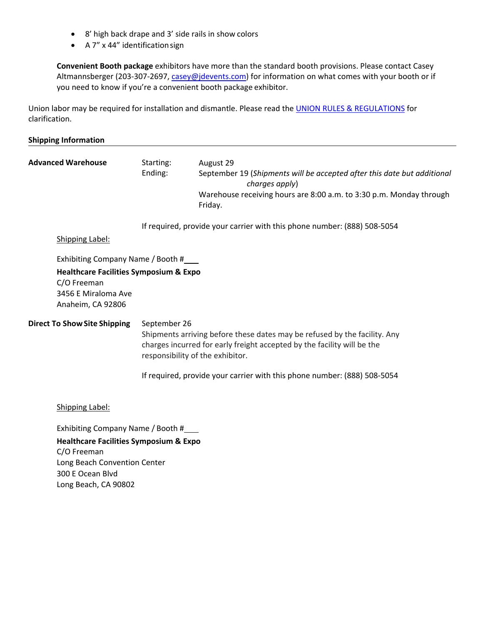- 8' high back drape and 3' side rails in show colors
- A 7" x 44" identificationsign

**Convenient Booth package** exhibitors have more than the standard booth provisions. Please contact Casey Altmannsberger (203-307-2697, casey@jdevents.com) for information on what comes with your booth or if you need to know if you're a convenient booth package exhibitor.

Union labor may be required for installation and dismantle. Please read the UNION RULES & REGULATIONS for clarification.

#### **Shipping Information**

| <b>Advanced Warehouse</b>                                                                                                                         | Starting:<br>Ending:                                                                                                                                                                                                                                                                 | August 29<br>September 19 (Shipments will be accepted after this date but additional<br>charges apply)<br>Warehouse receiving hours are 8:00 a.m. to 3:30 p.m. Monday through<br>Friday. |  |
|---------------------------------------------------------------------------------------------------------------------------------------------------|--------------------------------------------------------------------------------------------------------------------------------------------------------------------------------------------------------------------------------------------------------------------------------------|------------------------------------------------------------------------------------------------------------------------------------------------------------------------------------------|--|
| <b>Shipping Label:</b>                                                                                                                            |                                                                                                                                                                                                                                                                                      | If required, provide your carrier with this phone number: (888) 508-5054                                                                                                                 |  |
| Exhibiting Company Name / Booth #<br><b>Healthcare Facilities Symposium &amp; Expo</b><br>C/O Freeman<br>3456 E Miraloma Ave<br>Anaheim, CA 92806 |                                                                                                                                                                                                                                                                                      |                                                                                                                                                                                          |  |
| <b>Direct To Show Site Shipping</b>                                                                                                               | September 26<br>Shipments arriving before these dates may be refused by the facility. Any<br>charges incurred for early freight accepted by the facility will be the<br>responsibility of the exhibitor.<br>If required, provide your carrier with this phone number: (888) 508-5054 |                                                                                                                                                                                          |  |
| Shipping Label:<br>Exhibiting Company Name / Booth #                                                                                              |                                                                                                                                                                                                                                                                                      |                                                                                                                                                                                          |  |
| <b>Healthcare Facilities Symposium &amp; Expo</b>                                                                                                 |                                                                                                                                                                                                                                                                                      |                                                                                                                                                                                          |  |

C/O Freeman Long Beach Convention Center 300 E Ocean Blvd Long Beach, CA 90802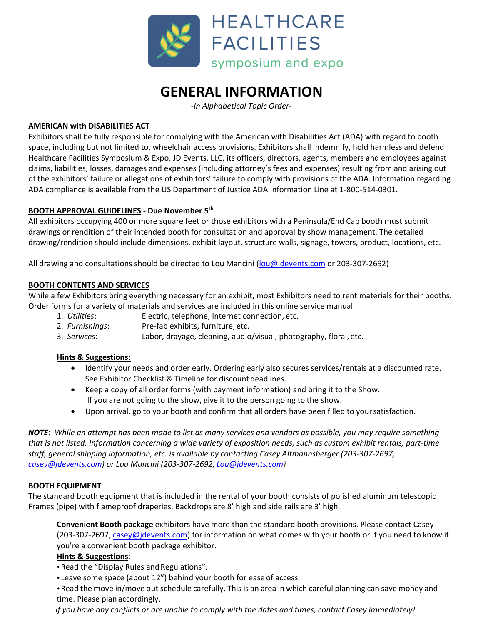

## **GENERAL INFORMATION**

*‐In Alphabetical Topic Order‐* 

#### **AMERICAN with DISABILITIES ACT**

Exhibitors shall be fully responsible for complying with the American with Disabilities Act (ADA) with regard to booth space, including but not limited to, wheelchair access provisions. Exhibitors shall indemnify, hold harmless and defend Healthcare Facilities Symposium & Expo, JD Events, LLC, its officers, directors, agents, members and employees against claims, liabilities, losses, damages and expenses (including attorney's fees and expenses) resulting from and arising out of the exhibitors' failure or allegations of exhibitors' failure to comply with provisions of the ADA. Information regarding ADA compliance is available from the US Department of Justice ADA Information Line at 1‐800‐514‐0301.

#### **BOOTH APPROVAL GUIDELINES ‐ Due November 5th**

All exhibitors occupying 400 or more square feet or those exhibitors with a Peninsula/End Cap booth must submit drawings or rendition of their intended booth for consultation and approval by show management. The detailed drawing/rendition should include dimensions, exhibit layout, structure walls, signage, towers, product, locations, etc.

All drawing and consultations should be directed to Lou Mancini (lou@jdevents.com or 203-307-2692)

#### **BOOTH CONTENTS AND SERVICES**

While a few Exhibitors bring everything necessary for an exhibit, most Exhibitors need to rent materials for their booths. Order forms for a variety of materials and services are included in this online service manual.

- 1. *Utilities*: Electric, telephone, Internet connection, etc.
- 2. *Furnishings*: Pre‐fab exhibits, furniture, etc.
- 3. *Services*: Labor, drayage, cleaning, audio/visual, photography, floral, etc.

#### **Hints & Suggestions:**

- Identify your needs and order early. Ordering early also secures services/rentals at a discounted rate. See Exhibitor Checklist & Timeline for discount deadlines.
- Keep a copy of all order forms (with payment information) and bring it to the Show. If you are not going to the show, give it to the person going to the show.
- Upon arrival, go to your booth and confirm that all orders have been filled to yoursatisfaction.

NOTE: While an attempt has been made to list as many services and vendors as possible, you may require something that is not listed. Information concerning a wide variety of exposition needs, such as custom exhibit rentals, part-time *staff, general shipping information, etc. is available by contacting Casey Altmannsberger (203‐307‐2697, casey@jdevents.com) or Lou Mancini (203‐307‐2692, Lou@jdevents.com)*

#### **BOOTH EQUIPMENT**

The standard booth equipment that is included in the rental of your booth consists of polished aluminum telescopic Frames (pipe) with flameproof draperies. Backdrops are 8' high and side rails are 3' high.

**Convenient Booth package** exhibitors have more than the standard booth provisions. Please contact Casey (203-307-2697, casey@jdevents.com) for information on what comes with your booth or if you need to know if you're a convenient booth package exhibitor.

#### **Hints & Suggestions**:

• Read the "Display Rules and Regulations".

Leave some space (about 12") behind your booth for ease of access.

Read the move in/move out schedule carefully. This is an area in which careful planning can save money and time. Please plan accordingly.

If you have any conflicts or are unable to comply with the dates and times, contact Casey immediately!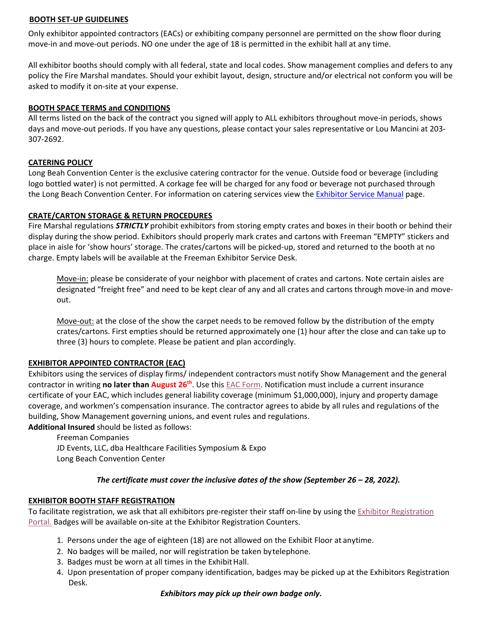#### **BOOTH SET‐UP GUIDELINES**

Only exhibitor appointed contractors (EACs) or exhibiting company personnel are permitted on the show floor during move-in and move-out periods. NO one under the age of 18 is permitted in the exhibit hall at any time.

All exhibitor booths should comply with all federal, state and local codes. Show management complies and defers to any policy the Fire Marshal mandates. Should your exhibit layout, design, structure and/or electrical not conform you will be asked to modify it on‐site at your expense.

#### **BOOTH SPACE TERMS and CONDITIONS**

All terms listed on the back of the contract you signed will apply to ALL exhibitors throughout move‐in periods, shows days and move‐out periods. If you have any questions, please contact your sales representative or Lou Mancini at 203‐ 307‐2692.

#### **CATERING POLICY**

Long Beah Convention Center is the exclusive catering contractor for the venue. Outside food or beverage (including logo bottled water) is not permitted. A corkage fee will be charged for any food or beverage not purchased through the Long Beach Convention Center. For information on catering services view the Exhibitor Service Manual page.

#### **CRATE/CARTON STORAGE & RETURN PROCEDURES**

Fire Marshal regulations *STRICTLY* prohibit exhibitors from storing empty crates and boxes in their booth or behind their display during the show period. Exhibitors should properly mark crates and cartons with Freeman "EMPTY" stickers and place in aisle for 'show hours' storage. The crates/cartons will be picked-up, stored and returned to the booth at no charge. Empty labels will be available at the Freeman Exhibitor Service Desk.

Move‐in: please be considerate of your neighbor with placement of crates and cartons. Note certain aisles are designated "freight free" and need to be kept clear of any and all crates and cartons through move‐in and move‐ out.

Move-out: at the close of the show the carpet needs to be removed follow by the distribution of the empty crates/cartons. First empties should be returned approximately one (1) hour after the close and can take up to three (3) hours to complete. Please be patient and plan accordingly.

#### **EXHIBITOR APPOINTED CONTRACTOR (EAC)**

Exhibitors using the services of display firms/ independent contractors must notify Show Management and the general contractor in writing **no later than August 26th**. Use this EAC Form. Notification must include a current insurance certificate of your EAC, which includes general liability coverage (minimum \$1,000,000), injury and property damage coverage, and workmen's compensation insurance. The contractor agrees to abide by all rules and regulations of the building, Show Management governing unions, and event rules and regulations.

**Additional Insured** should be listed as follows: Freeman Companies

JD Events, LLC, dba Healthcare Facilities Symposium & Expo Long Beach Convention Center

#### *The certificate must cover the inclusive dates of the show (September 26 – 28, 2022).*

#### **EXHIBITOR BOOTH STAFF REGISTRATION**

To facilitate registration, we ask that all exhibitors pre‐register their staff on‐line by using the Exhibitor Registration Portal. Badges will be available on‐site at the Exhibitor Registration Counters.

- 1. Persons under the age of eighteen (18) are not allowed on the Exhibit Floor at anytime.
- 2. No badges will be mailed, nor will registration be taken bytelephone.
- 3. Badges must be worn at all times in the Exhibit Hall.
- 4. Upon presentation of proper company identification, badges may be picked up at the Exhibitors Registration Desk.

#### *Exhibitors may pick up their own badge only.*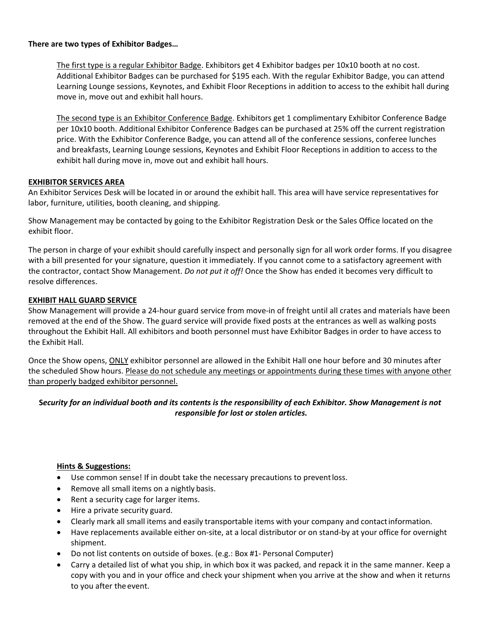#### **There are two types of Exhibitor Badges…**

The first type is a regular Exhibitor Badge. Exhibitors get 4 Exhibitor badges per 10x10 booth at no cost. Additional Exhibitor Badges can be purchased for \$195 each. With the regular Exhibitor Badge, you can attend Learning Lounge sessions, Keynotes, and Exhibit Floor Receptions in addition to access to the exhibit hall during move in, move out and exhibit hall hours.

The second type is an Exhibitor Conference Badge. Exhibitors get 1 complimentary Exhibitor Conference Badge per 10x10 booth. Additional Exhibitor Conference Badges can be purchased at 25% off the current registration price. With the Exhibitor Conference Badge, you can attend all of the conference sessions, conferee lunches and breakfasts, Learning Lounge sessions, Keynotes and Exhibit Floor Receptions in addition to access to the exhibit hall during move in, move out and exhibit hall hours.

#### **EXHIBITOR SERVICES AREA**

An Exhibitor Services Desk will be located in or around the exhibit hall. This area will have service representatives for labor, furniture, utilities, booth cleaning, and shipping.

Show Management may be contacted by going to the Exhibitor Registration Desk or the Sales Office located on the exhibit floor.

The person in charge of your exhibit should carefully inspect and personally sign for all work order forms. If you disagree with a bill presented for your signature, question it immediately. If you cannot come to a satisfactory agreement with the contractor, contact Show Management. *Do not put it off!* Once the Show has ended it becomes very difficult to resolve differences.

#### **EXHIBIT HALL GUARD SERVICE**

Show Management will provide a 24-hour guard service from move-in of freight until all crates and materials have been removed at the end of the Show. The guard service will provide fixed posts at the entrances as well as walking posts throughout the Exhibit Hall. All exhibitors and booth personnel must have Exhibitor Badges in order to have access to the Exhibit Hall.

Once the Show opens, ONLY exhibitor personnel are allowed in the Exhibit Hall one hour before and 30 minutes after the scheduled Show hours. Please do not schedule any meetings or appointments during these times with anyone other than properly badged exhibitor personnel.

#### Security for an individual booth and its contents is the responsibility of each Exhibitor. Show Management is not *responsible for lost or stolen articles.*

#### **Hints & Suggestions:**

- Use common sense! If in doubt take the necessary precautions to preventloss.
- Remove all small items on a nightly basis.
- Rent a security cage for larger items.
- Hire a private security guard.
- Clearly mark all small items and easily transportable items with your company and contactinformation.
- Have replacements available either on-site, at a local distributor or on stand-by at your office for overnight shipment.
- Do not list contents on outside of boxes. (e.g.: Box #1‐ Personal Computer)
- Carry a detailed list of what you ship, in which box it was packed, and repack it in the same manner. Keep a copy with you and in your office and check your shipment when you arrive at the show and when it returns to you after the event.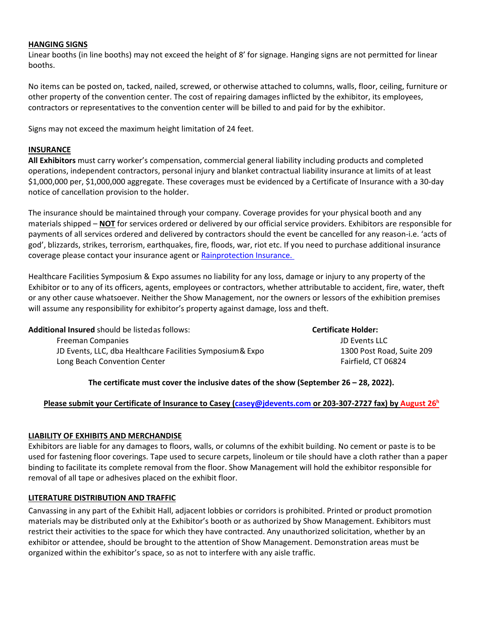#### **HANGING SIGNS**

Linear booths (in line booths) may not exceed the height of 8' for signage. Hanging signs are not permitted for linear booths.

No items can be posted on, tacked, nailed, screwed, or otherwise attached to columns, walls, floor, ceiling, furniture or other property of the convention center. The cost of repairing damages inflicted by the exhibitor, its employees, contractors or representatives to the convention center will be billed to and paid for by the exhibitor.

Signs may not exceed the maximum height limitation of 24 feet.

#### **INSURANCE**

**All Exhibitors** must carry worker's compensation, commercial general liability including products and completed operations, independent contractors, personal injury and blanket contractual liability insurance at limits of at least \$1,000,000 per, \$1,000,000 aggregate. These coverages must be evidenced by a Certificate of Insurance with a 30‐day notice of cancellation provision to the holder.

The insurance should be maintained through your company. Coverage provides for your physical booth and any materials shipped – **NOT** for services ordered or delivered by our official service providers. Exhibitors are responsible for payments of all services ordered and delivered by contractors should the event be cancelled for any reason‐i.e. 'acts of god', blizzards, strikes, terrorism, earthquakes, fire, floods, war, riot etc. If you need to purchase additional insurance coverage please contact your insurance agent or Rainprotection Insurance.

Healthcare Facilities Symposium & Expo assumes no liability for any loss, damage or injury to any property of the Exhibitor or to any of its officers, agents, employees or contractors, whether attributable to accident, fire, water, theft or any other cause whatsoever. Neither the Show Management, nor the owners or lessors of the exhibition premises will assume any responsibility for exhibitor's property against damage, loss and theft.

| <b>Additional Insured</b> should be listed as follows:     | <b>Certificate Holder:</b> |
|------------------------------------------------------------|----------------------------|
| <b>Freeman Companies</b>                                   | JD Events LLC              |
| JD Events, LLC, dba Healthcare Facilities Symposium & Expo | 1300 Post Road, Suite 209  |
| Long Beach Convention Center                               | Fairfield. CT 06824        |
|                                                            |                            |

#### **The certificate must cover the inclusive dates of the show (September 26 – 28, 2022).**

#### Please submit your Certificate of Insurance to Casey (casey@jdevents.com or 203-307-2727 fax) by August 26<sup>h</sup>

#### **LIABILITY OF EXHIBITS AND MERCHANDISE**

Exhibitors are liable for any damages to floors, walls, or columns of the exhibit building. No cement or paste is to be used for fastening floor coverings. Tape used to secure carpets, linoleum or tile should have a cloth rather than a paper binding to facilitate its complete removal from the floor. Show Management will hold the exhibitor responsible for removal of all tape or adhesives placed on the exhibit floor.

#### **LITERATURE DISTRIBUTION AND TRAFFIC**

Canvassing in any part of the Exhibit Hall, adjacent lobbies or corridors is prohibited. Printed or product promotion materials may be distributed only at the Exhibitor's booth or as authorized by Show Management. Exhibitors must restrict their activities to the space for which they have contracted. Any unauthorized solicitation, whether by an exhibitor or attendee, should be brought to the attention of Show Management. Demonstration areas must be organized within the exhibitor's space, so as not to interfere with any aisle traffic.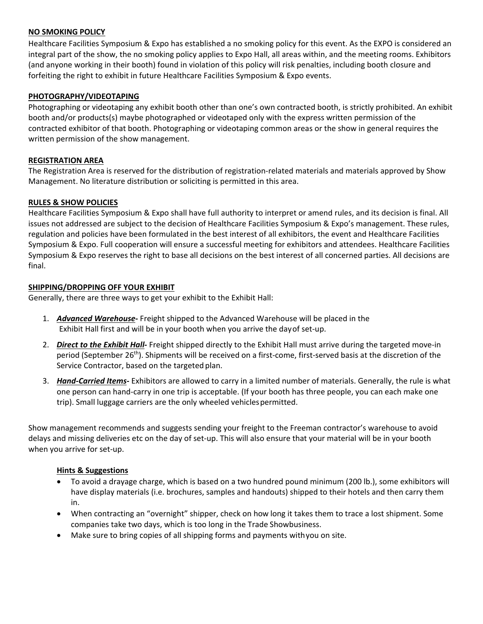#### **NO SMOKING POLICY**

Healthcare Facilities Symposium & Expo has established a no smoking policy for this event. As the EXPO is considered an integral part of the show, the no smoking policy applies to Expo Hall, all areas within, and the meeting rooms. Exhibitors (and anyone working in their booth) found in violation of this policy will risk penalties, including booth closure and forfeiting the right to exhibit in future Healthcare Facilities Symposium & Expo events.

#### **PHOTOGRAPHY/VIDEOTAPING**

Photographing or videotaping any exhibit booth other than one's own contracted booth, is strictly prohibited. An exhibit booth and/or products(s) maybe photographed or videotaped only with the express written permission of the contracted exhibitor of that booth. Photographing or videotaping common areas or the show in general requires the written permission of the show management.

#### **REGISTRATION AREA**

The Registration Area is reserved for the distribution of registration‐related materials and materials approved by Show Management. No literature distribution or soliciting is permitted in this area.

#### **RULES & SHOW POLICIES**

Healthcare Facilities Symposium & Expo shall have full authority to interpret or amend rules, and its decision is final. All issues not addressed are subject to the decision of Healthcare Facilities Symposium & Expo's management. These rules, regulation and policies have been formulated in the best interest of all exhibitors, the event and Healthcare Facilities Symposium & Expo. Full cooperation will ensure a successful meeting for exhibitors and attendees. Healthcare Facilities Symposium & Expo reserves the right to base all decisions on the best interest of all concerned parties. All decisions are final.

#### **SHIPPING/DROPPING OFF YOUR EXHIBIT**

Generally, there are three ways to get your exhibit to the Exhibit Hall:

- 1. *Advanced Warehouse***‐** Freight shipped to the Advanced Warehouse will be placed in the Exhibit Hall first and will be in your booth when you arrive the dayof set‐up.
- 2. *Direct to the Exhibit Hall***‐** Freight shipped directly to the Exhibit Hall must arrive during the targeted move‐in period (September 26<sup>th</sup>). Shipments will be received on a first-come, first-served basis at the discretion of the Service Contractor, based on the targeted plan.
- 3. *Hand‐Carried Items***‐** Exhibitors are allowed to carry in a limited number of materials. Generally, the rule is what one person can hand‐carry in one trip is acceptable. (If your booth has three people, you can each make one trip). Small luggage carriers are the only wheeled vehiclespermitted.

Show management recommends and suggests sending your freight to the Freeman contractor's warehouse to avoid delays and missing deliveries etc on the day of set‐up. This will also ensure that your material will be in your booth when you arrive for set-up.

#### **Hints & Suggestions**

- To avoid a drayage charge, which is based on a two hundred pound minimum (200 lb.), some exhibitors will have display materials (i.e. brochures, samples and handouts) shipped to their hotels and then carry them in.
- When contracting an "overnight" shipper, check on how long it takes them to trace a lost shipment. Some companies take two days, which is too long in the Trade Showbusiness.
- Make sure to bring copies of all shipping forms and payments withyou on site.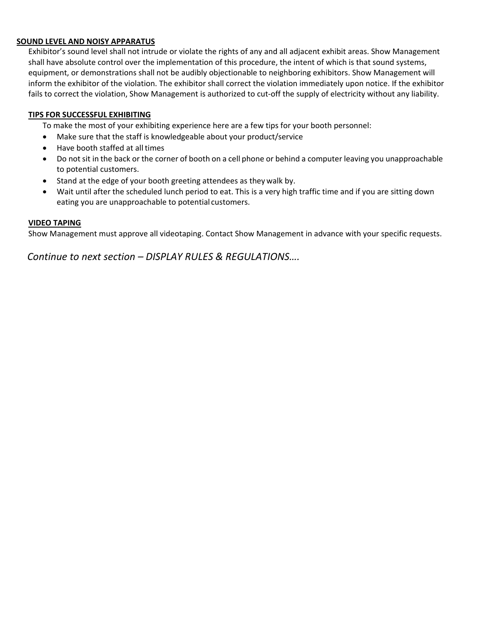#### **SOUND LEVEL AND NOISY APPARATUS**

Exhibitor's sound level shall not intrude or violate the rights of any and all adjacent exhibit areas. Show Management shall have absolute control over the implementation of this procedure, the intent of which is that sound systems, equipment, or demonstrations shall not be audibly objectionable to neighboring exhibitors. Show Management will inform the exhibitor of the violation. The exhibitor shall correct the violation immediately upon notice. If the exhibitor fails to correct the violation, Show Management is authorized to cut-off the supply of electricity without any liability.

#### **TIPS FOR SUCCESSFUL EXHIBITING**

To make the most of your exhibiting experience here are a few tips for your booth personnel:

- Make sure that the staff is knowledgeable about your product/service
- Have booth staffed at all times
- Do not sit in the back or the corner of booth on a cell phone or behind a computer leaving you unapproachable to potential customers.
- Stand at the edge of your booth greeting attendees as they walk by.
- Wait until after the scheduled lunch period to eat. This is a very high traffic time and if you are sitting down eating you are unapproachable to potential customers.

#### **VIDEO TAPING**

Show Management must approve all videotaping. Contact Show Management in advance with your specific requests.

*Continue to next section – DISPLAY RULES & REGULATIONS….*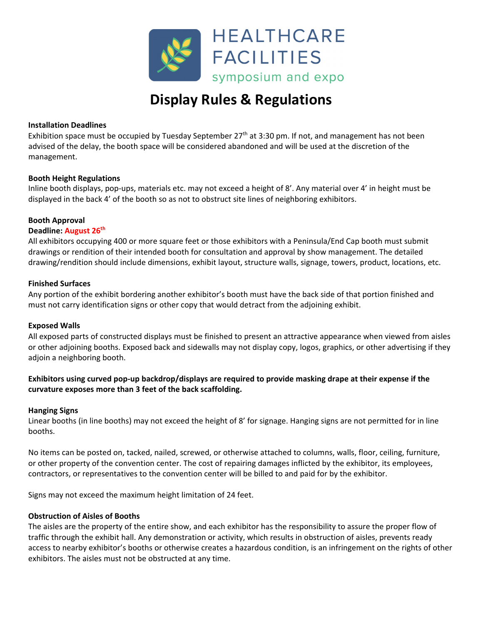

# **Display Rules & Regulations**

#### **Installation Deadlines**

Exhibition space must be occupied by Tuesday September  $27<sup>th</sup>$  at 3:30 pm. If not, and management has not been advised of the delay, the booth space will be considered abandoned and will be used at the discretion of the management.

#### **Booth Height Regulations**

Inline booth displays, pop-ups, materials etc. may not exceed a height of 8'. Any material over 4' in height must be displayed in the back 4' of the booth so as not to obstruct site lines of neighboring exhibitors.

#### **Booth Approval**

#### **Deadline: August 26th**

All exhibitors occupying 400 or more square feet or those exhibitors with a Peninsula/End Cap booth must submit drawings or rendition of their intended booth for consultation and approval by show management. The detailed drawing/rendition should include dimensions, exhibit layout, structure walls, signage, towers, product, locations, etc.

#### **Finished Surfaces**

Any portion of the exhibit bordering another exhibitor's booth must have the back side of that portion finished and must not carry identification signs or other copy that would detract from the adjoining exhibit.

#### **Exposed Walls**

All exposed parts of constructed displays must be finished to present an attractive appearance when viewed from aisles or other adjoining booths. Exposed back and sidewalls may not display copy, logos, graphics, or other advertising if they adjoin a neighboring booth.

#### Exhibitors using curved pop-up backdrop/displays are required to provide masking drape at their expense if the **curvature exposes more than 3 feet of the back scaffolding.**

#### **Hanging Signs**

Linear booths (in line booths) may not exceed the height of 8' for signage. Hanging signs are not permitted for in line booths.

No items can be posted on, tacked, nailed, screwed, or otherwise attached to columns, walls, floor, ceiling, furniture, or other property of the convention center. The cost of repairing damages inflicted by the exhibitor, its employees, contractors, or representatives to the convention center will be billed to and paid for by the exhibitor.

Signs may not exceed the maximum height limitation of 24 feet.

#### **Obstruction of Aisles of Booths**

The aisles are the property of the entire show, and each exhibitor has the responsibility to assure the proper flow of traffic through the exhibit hall. Any demonstration or activity, which results in obstruction of aisles, prevents ready access to nearby exhibitor's booths or otherwise creates a hazardous condition, is an infringement on the rights of other exhibitors. The aisles must not be obstructed at any time.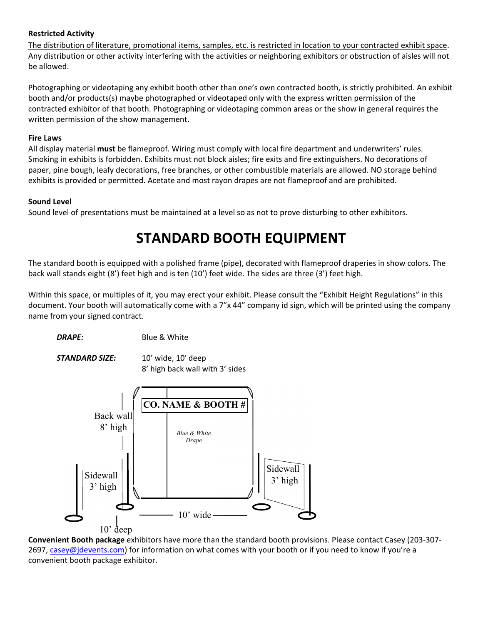#### **Restricted Activity**

The distribution of literature, promotional items, samples, etc. is restricted in location to your contracted exhibit space. Any distribution or other activity interfering with the activities or neighboring exhibitors or obstruction of aisles will not be allowed.

Photographing or videotaping any exhibit booth other than one's own contracted booth, is strictly prohibited. An exhibit booth and/or products(s) maybe photographed or videotaped only with the express written permission of the contracted exhibitor of that booth. Photographing or videotaping common areas or the show in general requires the written permission of the show management.

#### **Fire Laws**

All display material **must** be flameproof. Wiring must comply with local fire department and underwriters' rules. Smoking in exhibits is forbidden. Exhibits must not block aisles; fire exits and fire extinguishers. No decorations of paper, pine bough, leafy decorations, free branches, or other combustible materials are allowed. NO storage behind exhibits is provided or permitted. Acetate and most rayon drapes are not flameproof and are prohibited.

#### **Sound Level**

Sound level of presentations must be maintained at a level so as not to prove disturbing to other exhibitors.

# **STANDARD BOOTH EQUIPMENT**

The standard booth is equipped with a polished frame (pipe), decorated with flameproof draperies in show colors. The back wall stands eight (8') feet high and is ten (10') feet wide. The sides are three (3') feet high.

Within this space, or multiples of it, you may erect your exhibit. Please consult the "Exhibit Height Regulations" in this document. Your booth will automatically come with a 7"x 44" company id sign, which will be printed using the company name from your signed contract.

*DRAPE:* Blue & White

*STANDARD SIZE:* 10' wide, 10' deep

8' high back wall with 3' sides



**Convenient Booth package** exhibitors have more than the standard booth provisions. Please contact Casey (203‐307‐ 2697, casey@jdevents.com) for information on what comes with your booth or if you need to know if you're a convenient booth package exhibitor.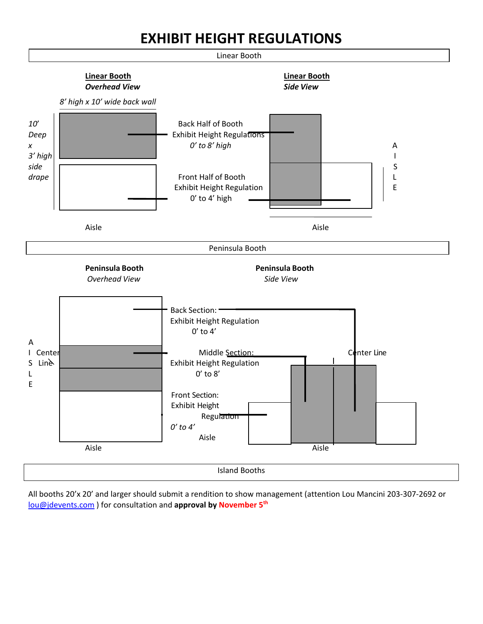# **EXHIBIT HEIGHT REGULATIONS**



All booths 20'x 20' and larger should submit a rendition to show management (attention Lou Mancini 203‐307‐2692 or lou@jdevents.com ) for consultation and **approval by November 5th**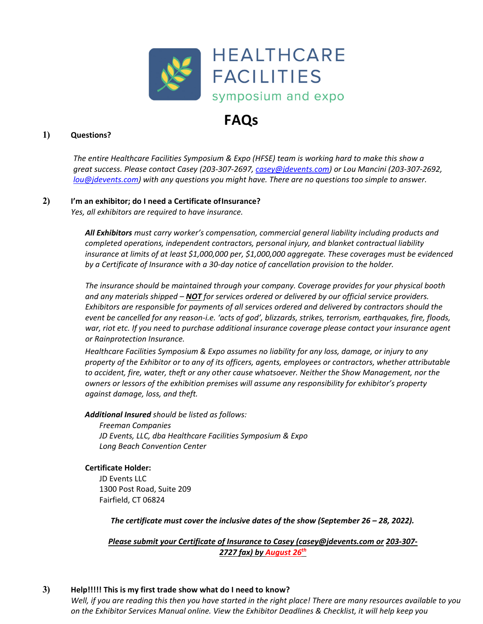

# **FAQs**

#### **1) Questions?**

*The entire Healthcare Facilities Symposium & Expo (HFSE) team is working hard to make this show a* great success. Please contact Casey (203-307-2697, casey@jdevents.com) or Lou Mancini (203-307-2692, *lou@jdevents.com) with any questions you might have. There are no questions too simple to answer.*

#### **2) I'm an exhibitor; do I need a Certificate ofInsurance?**

*Yes, all exhibitors are required to have insurance.*

*All Exhibitors must carry worker's compensation, commercial general liability including products and completed operations, independent contractors, personal injury, and blanket contractual liability insurance at limits of at least \$1,000,000 per, \$1,000,000 aggregate. These coverages must be evidenced by a Certificate of Insurance with a 30‐day notice of cancellation provision to the holder.*

*The insurance should be maintained through your company. Coverage provides for your physical booth and any materials shipped – NOT for services ordered or delivered by our official service providers. Exhibitors are responsible for payments of all services ordered and delivered by contractors should the* event be cancelled for any reason-i.e. 'acts of god', blizzards, strikes, terrorism, earthquakes, fire, floods, *war, riot etc. If you need to purchase additional insurance coverage please contact your insurance agent or Rainprotection Insurance.*

*Healthcare Facilities Symposium & Expo assumes no liability for any loss, damage, or injury to any property of the Exhibitor or to any of its officers, agents, employees or contractors, whether attributable to accident, fire, water, theft or any other cause whatsoever. Neither the Show Management, nor the owners or lessors of the exhibition premises will assume any responsibility for exhibitor's property against damage, loss, and theft.*

*Additional Insured should be listed as follows:*

*Freeman Companies JD Events, LLC, dba Healthcare Facilities Symposium & Expo Long Beach Convention Center*

#### **Certificate Holder:**

JD Events LLC 1300 Post Road, Suite 209 Fairfield, CT 06824

*The certificate must cover the inclusive dates of the show (September 26 – 28, 2022).*

*Please submit your Certificate of Insurance to Casey (casey@jdevents.com or 203‐307‐ 2727 fax) by August 26th*

#### **3) Help!!!!! This is my first trade show what do I need to know?**

Well, if you are reading this then you have started in the right place! There are many resources available to you *on the Exhibitor Services Manual online. View the Exhibitor Deadlines & Checklist, it will help keep you*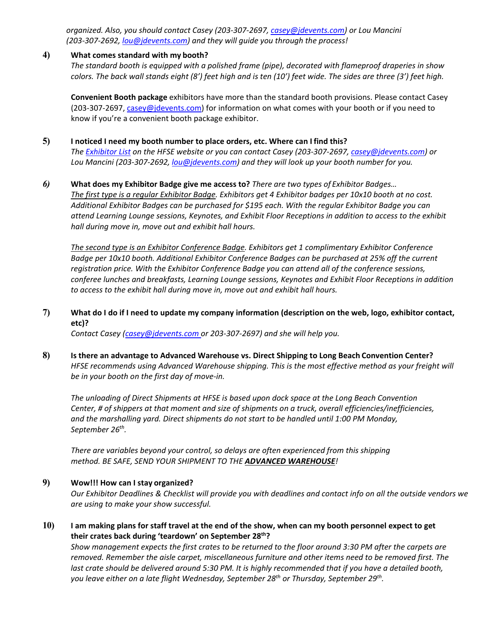*organized. Also, you should contact Casey (203‐307‐2697, casey@jdevents.com) or Lou Mancini (203‐307‐2692, lou@jdevents.com) and they will guide you through the process!*

#### **4) What comes standard with my booth?**

*The standard booth is equipped with a polished frame (pipe), decorated with flameproof draperies in show* colors. The back wall stands eight (8') feet high and is ten (10') feet wide. The sides are three (3') feet high.

**Convenient Booth package** exhibitors have more than the standard booth provisions. Please contact Casey (203-307-2697, casey@jdevents.com) for information on what comes with your booth or if you need to know if you're a convenient booth package exhibitor.

#### **5) I noticed I need my booth number to place orders, etc. Where can I find this?**

The Exhibitor List on the HFSE website or you can contact Casey (203-307-2697, casey@jdevents.com) or *Lou Mancini (203‐307‐2692, lou@jdevents.com) and they will look up your booth number for you.*

#### *6)* **What does my Exhibitor Badge give me access to?** *There are two types of Exhibitor Badges…*

The first type is a regular Exhibitor Badge. Exhibitors get 4 Exhibitor badges per 10x10 booth at no cost. *Additional Exhibitor Badges can be purchased for \$195 each. With the regular Exhibitor Badge you can attend Learning Lounge sessions, Keynotes, and Exhibit Floor Receptions in addition to access to the exhibit hall during move in, move out and exhibit hall hours.*

*The second type is an Exhibitor Conference Badge. Exhibitors get 1 complimentary Exhibitor Conference Badge per 10x10 booth. Additional Exhibitor Conference Badges can be purchased at 25% off the current registration price. With the Exhibitor Conference Badge you can attend all of the conference sessions, conferee lunches and breakfasts, Learning Lounge sessions, Keynotes and Exhibit Floor Receptions in addition to access to the exhibit hall during move in, move out and exhibit hall hours.*

#### 7) What do I do if I need to update my company information (description on the web, logo, exhibitor contact, **etc)?**

*Contact Casey (casey@jdevents.com or 203‐307‐2697) and she will help you.*

**8) Is there an advantage to Advanced Warehouse vs. Direct Shipping to Long Beach Convention Center?** *HFSE recommends using Advanced Warehouse shipping. This is the most effective method as your freight will be in your booth on the first day of move‐in.*

*The unloading of Direct Shipments at HFSE is based upon dock space at the Long Beach Convention Center, # of shippers at that moment and size of shipments on a truck, overall efficiencies/inefficiencies, and the marshalling yard. Direct shipments do not start to be handled until 1:00 PM Monday, September 26th.*

*There are variables beyond your control, so delays are often experienced from this shipping method. BE SAFE, SEND YOUR SHIPMENT TO THE ADVANCED WAREHOUSE!*

#### **9) Wow!!! How can I stay organized?**

Our Exhibitor Deadlines & Checklist will provide you with deadlines and contact info on all the outside vendors we *are using to make your show successful.*

#### 10) I am making plans for staff travel at the end of the show, when can my booth personnel expect to get **their crates back during 'teardown' on September 28th?**

Show management expects the first crates to be returned to the floor around 3:30 PM after the carpets are *removed. Remember the aisle carpet, miscellaneous furniture and other items need to be removed first. The* last crate should be delivered around 5:30 PM. It is highly recommended that if you have a detailed booth, *you leave either on a late flight Wednesday, September 28th or Thursday, September 29th.*